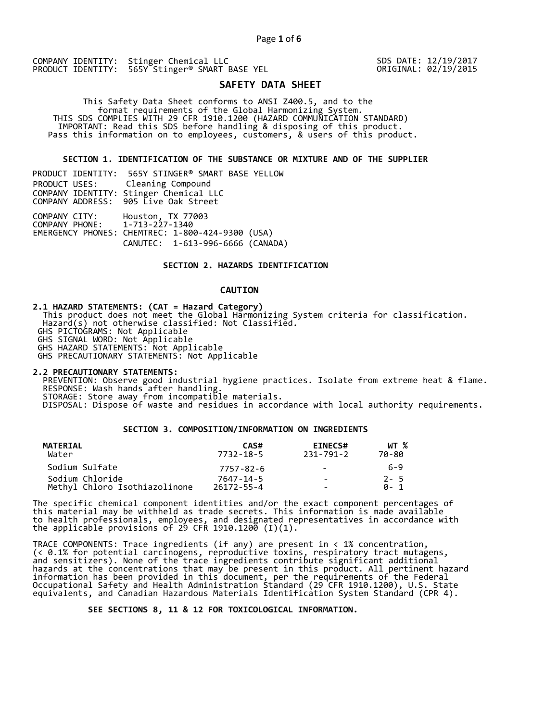SDS DATE: 12/19/2017 ORIGINAL: 02/19/2015

# **SAFETY DATA SHEET**

 This Safety Data Sheet conforms to ANSI Z400.5, and to the format requirements of the Global Harmonizing System. THIS SDS COMPLIES WITH 29 CFR 1910.1200 (HAZARD COMMUNICATION STANDARD) IMPORTANT: Read this SDS before handling & disposing of this product. Pass this information on to employees, customers, & users of this product.

**SECTION 1. IDENTIFICATION OF THE SUBSTANCE OR MIXTURE AND OF THE SUPPLIER** 

|                                                | PRODUCT IDENTITY: 565Y STINGER® SMART BASE YELLOW                                                         |
|------------------------------------------------|-----------------------------------------------------------------------------------------------------------|
| PRODUCT USES:                                  | Cleaning Compound                                                                                         |
|                                                | COMPANY IDENTITY: Stinger Chemical LLC                                                                    |
|                                                | COMPANY ADDRESS: 905 Live Oak Street                                                                      |
| COMPANY CITY:<br>COMPANY PHONE: 1-713-227-1340 | Houston, TX 77003<br>EMERGENCY PHONES: CHEMTREC: 1-800-424-9300 (USA)<br>CANUTEC: 1-613-996-6666 (CANADA) |

## **SECTION 2. HAZARDS IDENTIFICATION**

## **CAUTION**

**2.1 HAZARD STATEMENTS: (CAT = Hazard Category)**

 This product does not meet the Global Harmonizing System criteria for classification. Hazard(s) not otherwise classified: Not Classified.

GHS PICTOGRAMS: Not Applicable

GHS SIGNAL WORD: Not Applicable

GHS HAZARD STATEMENTS: Not Applicable GHS PRECAUTIONARY STATEMENTS: Not Applicable

**2.2 PRECAUTIONARY STATEMENTS:**  PREVENTION: Observe good industrial hygiene practices. Isolate from extreme heat & flame. RESPONSE: Wash hands after handling. STORAGE: Store away from incompatible materials.

DISPOSAL: Dispose of waste and residues in accordance with local authority requirements.

## **SECTION 3. COMPOSITION/INFORMATION ON INGREDIENTS**

| MATERIAL<br>Water             | CAS#<br>7732-18-5 | <b>EINECS#</b><br>231-791-2 | WT %<br>70-80 |
|-------------------------------|-------------------|-----------------------------|---------------|
| Sodium Sulfate                | 7757-82-6         | $\sim$                      | 6-9           |
| Sodium Chloride               | 7647-14-5         | $\sim$                      | $2 - 5$       |
| Methyl Chloro Isothiazolinone | $26172 - 55 - 4$  | -                           | A- 1          |

The specific chemical component identities and/or the exact component percentages of this material may be withheld as trade secrets. This information is made available to health professionals, employees, and designated representatives in accordance with the applicable provisions of 29 CFR 1910.1200̄ (I)(1).  $\overline{\phantom{a}}$ 

TRACE COMPONENTS: Trace ingredients (if any) are present in < 1% concentration, (< 0.1% for potential carcinogens, reproductive toxins, respiratory tract mutagens, and sensitizers). None of the trace ingredients contribute significant additional hazards at the concentrations that may be present in this product. All pertinent hazard information has been provided in this document, per the requirements of the Federal Occupational Safety and Health Administration Standard (29 CFR 1910.1200), U.S. State equivalents, and Canadian Hazardous Materials Identification System Standard (CPR 4).

 **SEE SECTIONS 8, 11 & 12 FOR TOXICOLOGICAL INFORMATION.**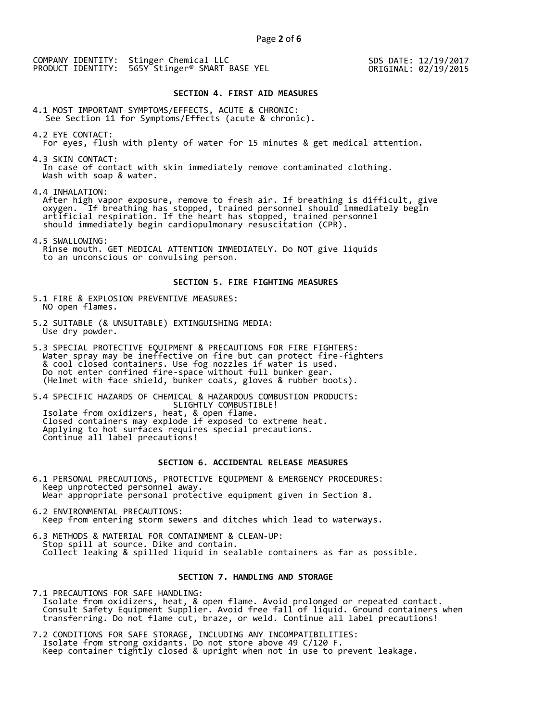SDS DATE: 12/19/2017 ORIGINAL: 02/19/2015

#### **SECTION 4. FIRST AID MEASURES**

4.1 MOST IMPORTANT SYMPTOMS/EFFECTS, ACUTE & CHRONIC: See Section 11 for Symptoms/Effects (acute & chronic).

4.2 EYE CONTACT: For eyes, flush with plenty of water for 15 minutes & get medical attention.

4.3 SKIN CONTACT: In case of contact with skin immediately remove contaminated clothing. Wash with soap & water.

4.4 INHALATION:

 After high vapor exposure, remove to fresh air. If breathing is difficult, give oxygen. If breathing has stopped, trained personnel should immediately begin artificial respiration. If the heart has stopped, trained personnel should immediately begin cardiopulmonary resuscitation (CPR).

4.5 SWALLOWING: Rinse mouth. GET MEDICAL ATTENTION IMMEDIATELY. Do NOT give liquids to an unconscious or convulsing person.

## **SECTION 5. FIRE FIGHTING MEASURES**

5.1 FIRE & EXPLOSION PREVENTIVE MEASURES: NO open flames.

- 5.2 SUITABLE (& UNSUITABLE) EXTINGUISHING MEDIA: Use dry powder.
- 5.3 SPECIAL PROTECTIVE EQUIPMENT & PRECAUTIONS FOR FIRE FIGHTERS: Water spray may be ineffective on fire but can protect fire-fighters & cool closed containers. Use fog nozzles if water is used. Do not enter confined fire-space without full bunker gear. (Helmet with face shield, bunker coats, gloves & rubber boots).

5.4 SPECIFIC HAZARDS OF CHEMICAL & HAZARDOUS COMBUSTION PRODUCTS: SLIGHTLY COMBUSTIBLE! Isolate from oxidizers, heat, & open flame. Closed containers may explode if exposed to extreme heat. Applying to hot surfaces requires special precautions. Continue all label precautions!

# **SECTION 6. ACCIDENTAL RELEASE MEASURES**

- 6.1 PERSONAL PRECAUTIONS, PROTECTIVE EQUIPMENT & EMERGENCY PROCEDURES: Keep unprotected personnel away. Wear appropriate personal protective equipment given in Section 8.
- 6.2 ENVIRONMENTAL PRECAUTIONS: Keep from entering storm sewers and ditches which lead to waterways.
- 6.3 METHODS & MATERIAL FOR CONTAINMENT & CLEAN-UP: Stop spill at source. Dike and contain. Collect leaking & spilled liquid in sealable containers as far as possible.

## **SECTION 7. HANDLING AND STORAGE**

7.1 PRECAUTIONS FOR SAFE HANDLING: Isolate from oxidizers, heat, & open flame. Avoid prolonged or repeated contact. Consult Safety Equipment Supplier. Avoid free fall of liquid. Ground containers when transferring. Do not flame cut, braze, or weld. Continue all label precautions!

7.2 CONDITIONS FOR SAFE STORAGE, INCLUDING ANY INCOMPATIBILITIES: Isolate from strong oxidants. Do not store above 49 C/120 F. Keep container tightly closed & upright when not in use to prevent leakage.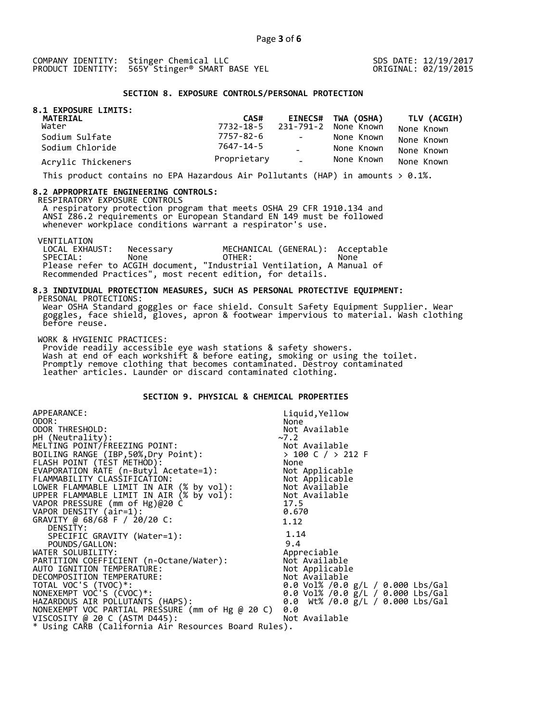SDS DATE: 12/19/2017 ORIGINAL: 02/19/2015

## **SECTION 8. EXPOSURE CONTROLS/PERSONAL PROTECTION**

| 8.1 EXPOSURE LIMITS:<br>MATERIAL | CAS#        |            | EINECS# TWA (OSHA)             | <b>TLV (ACGIH)</b> |
|----------------------------------|-------------|------------|--------------------------------|--------------------|
| Water                            |             |            | 7732-18-5 231-791-2 None Known | None Known         |
| Sodium Sulfate                   | 7757-82-6   | $\sim 100$ | None Known                     | None Known         |
| Sodium Chloride                  | 7647-14-5   |            | None Known                     | None Known         |
| Acrylic Thickeners               | Proprietary | $\sim$ .   | None Known                     | None Known         |

This product contains no EPA Hazardous Air Pollutants (HAP) in amounts  $> 0.1\%$ .

#### **8.2 APPROPRIATE ENGINEERING CONTROLS:**

RESPIRATORY EXPOSURE CONTROLS

 A respiratory protection program that meets OSHA 29 CFR 1910.134 and ANSI Z86.2 requirements or European Standard EN 149 must be followed whenever workplace conditions warrant a respirator's use.

VENTILATION<br>LOCAL EXHAUST: LOCAL EXHAUST: Necessary MECHANICAL (GENERAL): Acceptable SPECIAL: None OTHER: None Please refer to ACGIH document, "Industrial Ventilation, A Manual of Recommended Practices", most recent edition, for details.

#### **8.3 INDIVIDUAL PROTECTION MEASURES, SUCH AS PERSONAL PROTECTIVE EQUIPMENT:**  PERSONAL PROTECTIONS:

 Wear OSHA Standard goggles or face shield. Consult Safety Equipment Supplier. Wear goggles, face shield, gloves, apron & footwear impervious to material. Wash clothing before reuse.

WORK & HYGIENIC PRACTICES:

 Provide readily accessible eye wash stations & safety showers. Wash at end of each workshift & before eating, smoking or using the toilet. Promptly remove clothing that becomes contaminated. Destroy contaminated leather articles. Launder or discard contaminated clothing.

# **SECTION 9. PHYSICAL & CHEMICAL PROPERTIES**

| APPEARANCE:                                                                                                                                      | Liquid, Yellow                            |
|--------------------------------------------------------------------------------------------------------------------------------------------------|-------------------------------------------|
| ODOR:                                                                                                                                            | None                                      |
| ODOR THRESHOLD:                                                                                                                                  | Not Available                             |
| pH (Neutrality):                                                                                                                                 | ~2                                        |
| MELTING POINT/FREEZING POINT:                                                                                                                    |                                           |
| BOILING RANGE (IBP, 50%, Dry Point):                                                                                                             | Not Available<br>> 100 C / > 212 F        |
| FLASH POINT (TÈST METHOD):                                                                                                                       | None                                      |
| EVAPORATION RATE (n-Butyl Acetate=1):                                                                                                            | Not Applicable                            |
| FLAMMABILITY CLASSIFICATION:<br>LOWER FLAMMABLE LIMIT IN AIR (% by vol): Not Available<br>UPPER FLAMMARLE LIMIT IN AIR (% by VOl): Not Available |                                           |
|                                                                                                                                                  |                                           |
| UPPER FLAMMABLE LIMIT IN AIR (% by vol): Not Available                                                                                           |                                           |
| VAPOR PRESSURE (mm of Hg)@20 C                                                                                                                   | 17.5                                      |
| VAPOR DENSITY (air=1):                                                                                                                           | 0.670                                     |
| GRAVITY @ 68/68 F / 20/20 C:                                                                                                                     | 1.12                                      |
| DENSITY:                                                                                                                                         |                                           |
| SPECIFIC GRAVITY (Water=1):                                                                                                                      | 1.14                                      |
| POUNDS/GALLON:                                                                                                                                   | 9.4                                       |
| PARTITION COEFFICIENT (n-Octane/Water):<br>AUTO IGNITION TEMPERATURE                                                                             | Appreciable                               |
|                                                                                                                                                  | Not Available                             |
|                                                                                                                                                  | Not Applicable                            |
| DECOMPOSITION TEMPERATURE:                                                                                                                       | Not Available                             |
| TOTAL VOC'S (TVOC)*:                                                                                                                             | 0.0 Vol% /0.0 g/L / 0.000 Lbs/Gal         |
| NONEXEMPT VOC'S (CVOC)*:                                                                                                                         | 0.0 Vol% /0.0 $\bar{g}/L$ / 0.000 Lbs/Gal |
| HAZARDOUS AIR POLLUTANTS (HAPS):                                                                                                                 | 0.0 Wt% /0.0 g/L / 0.000 Lbs/Gal          |
| NONEXEMPT VOC PARTIAL PRESSURE (mm of Hg @ 20 C)                                                                                                 | 0.0                                       |
| VISCOSITY @ 20 C (ASTM D445):                                                                                                                    | Not Available                             |
| * Using CARB (California Air Resources Board Rules).                                                                                             |                                           |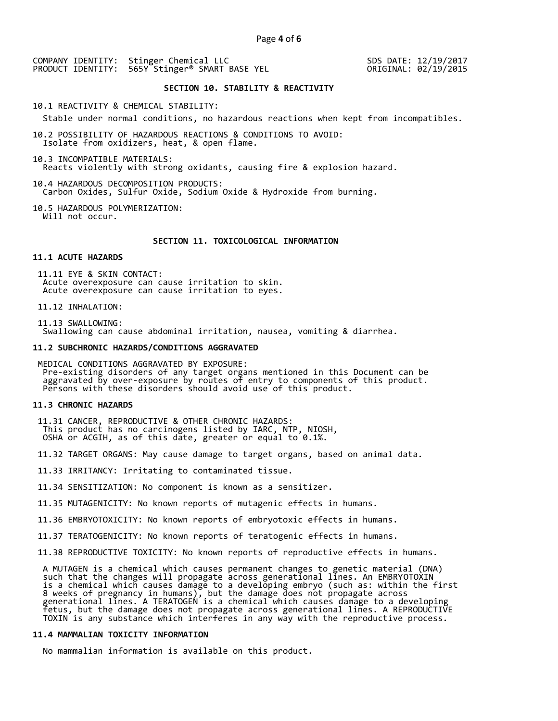SDS DATE: 12/19/2017 ORIGINAL: 02/19/2015

## **SECTION 10. STABILITY & REACTIVITY**

10.1 REACTIVITY & CHEMICAL STABILITY:

Stable under normal conditions, no hazardous reactions when kept from incompatibles.

10.2 POSSIBILITY OF HAZARDOUS REACTIONS & CONDITIONS TO AVOID: Isolate from oxidizers, heat, & open flame.

10.3 INCOMPATIBLE MATERIALS: Reacts violently with strong oxidants, causing fire & explosion hazard.

10.4 HAZARDOUS DECOMPOSITION PRODUCTS: Carbon Oxides, Sulfur Oxide, Sodium Oxide & Hydroxide from burning.

10.5 HAZARDOUS POLYMERIZATION: Will not occur.

## **SECTION 11. TOXICOLOGICAL INFORMATION**

## **11.1 ACUTE HAZARDS**

 11.11 EYE & SKIN CONTACT: Acute overexposure can cause irritation to skin. Acute overexposure can cause irritation to eyes.

11.12 INHALATION:

 11.13 SWALLOWING: Swallowing can cause abdominal irritation, nausea, vomiting & diarrhea.

#### **11.2 SUBCHRONIC HAZARDS/CONDITIONS AGGRAVATED**

 MEDICAL CONDITIONS AGGRAVATED BY EXPOSURE: Pre-existing disorders of any target organs mentioned in this Document can be aggravated by over-exposure by routes of entry to components of this product. Persons with these disorders should avoid use of this product.

## **11.3 CHRONIC HAZARDS**

 11.31 CANCER, REPRODUCTIVE & OTHER CHRONIC HAZARDS: This product has no carcinogens listed by IARC, NTP, NIOSH, OSHA or ACGIH, as of this date, greater or equal to 0.1%.

11.32 TARGET ORGANS: May cause damage to target organs, based on animal data.

11.33 IRRITANCY: Irritating to contaminated tissue.

11.34 SENSITIZATION: No component is known as a sensitizer.

11.35 MUTAGENICITY: No known reports of mutagenic effects in humans.

11.36 EMBRYOTOXICITY: No known reports of embryotoxic effects in humans.

11.37 TERATOGENICITY: No known reports of teratogenic effects in humans.

11.38 REPRODUCTIVE TOXICITY: No known reports of reproductive effects in humans.

 A MUTAGEN is a chemical which causes permanent changes to genetic material (DNA) such that the changes will propagate across generational lines. An EMBRYOTOXIN is a chemical which causes damage to a developing embryo (such as: within the first 8 weeks of pregnancy in humans), but the damage does not propagate across generational lines. A TERATOGEN is a chemical which causes damage to a developing fetus, but the damage does not propagate across generational lines. A REPRODUCTIVE TOXIN is any substance which interferes in any way with the reproductive process.

## **11.4 MAMMALIAN TOXICITY INFORMATION**

No mammalian information is available on this product.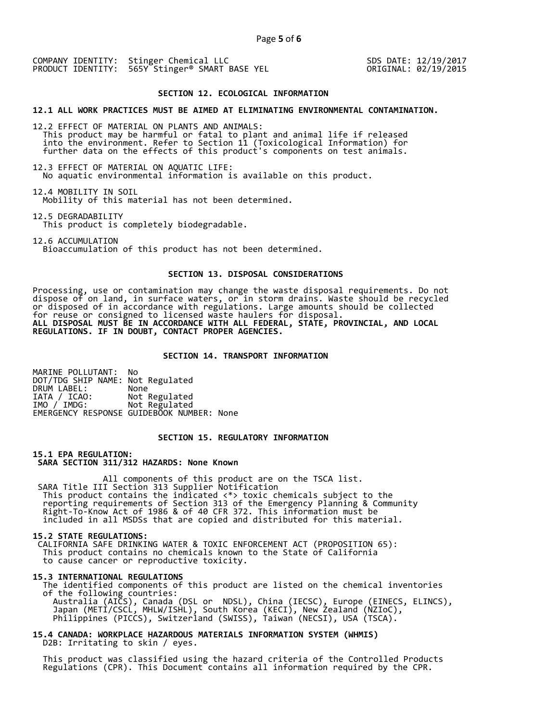SDS DATE: 12/19/2017 ORIGINAL: 02/19/2015

## **SECTION 12. ECOLOGICAL INFORMATION**

## **12.1 ALL WORK PRACTICES MUST BE AIMED AT ELIMINATING ENVIRONMENTAL CONTAMINATION.**

12.2 EFFECT OF MATERIAL ON PLANTS AND ANIMALS: This product may be harmful or fatal to plant and animal life if released into the environment. Refer to Section 11 (Toxicological Information) for further data on the effects of this product's components on test animals.

12.3 EFFECT OF MATERIAL ON AQUATIC LIFE: No aquatic environmental information is available on this product.

12.4 MOBILITY IN SOIL Mobility of this material has not been determined.

12.5 DEGRADABILITY

This product is completely biodegradable.

12.6 ACCUMULATION Bioaccumulation of this product has not been determined.

## **SECTION 13. DISPOSAL CONSIDERATIONS**

Processing, use or contamination may change the waste disposal requirements. Do not dispose of on land, in surface waters, or in storm drains. Waste should be recycled or disposed of in accordance with regulations. Large amounts should be collected for reuse or consigned to licensed waste haulers for disposal. **ALL DISPOSAL MUST BE IN ACCORDANCE WITH ALL FEDERAL, STATE, PROVINCIAL, AND LOCAL REGULATIONS. IF IN DOUBT, CONTACT PROPER AGENCIES.** 

## **SECTION 14. TRANSPORT INFORMATION**

MARINE POLLUTANT: No DOT/TDG SHIP NAME: Not Regulated DRUM LABEL:<br>IATA / ICAO: IATA / ICAO: Not Regulated<br>IMO / IMDG: Not Regulated Not Regulated EMERGENCY RESPONSE GUIDEBOOK NUMBER: None

## **SECTION 15. REGULATORY INFORMATION**

**15.1 EPA REGULATION: SARA SECTION 311/312 HAZARDS: None Known** 

All components of this product are on the TSCA list. SARA Title III Section 313 Supplier Notification This product contains the indicated <\*> toxic chemicals subject to the reporting requirements of Section 313 of the Emergency Planning & Community Right-To-Know Act of 1986 & of 40 CFR 372. This information must be included in all MSDSs that are copied and distributed for this material.

#### **15.2 STATE REGULATIONS:**

 CALIFORNIA SAFE DRINKING WATER & TOXIC ENFORCEMENT ACT (PROPOSITION 65): This product contains no chemicals known to the State of California to cause cancer or reproductive toxicity.

#### **15.3 INTERNATIONAL REGULATIONS**

 The identified components of this product are listed on the chemical inventories of the following countries: Australia (AICS), Canada (DSL or NDSL), China (IECSC), Europe (EINECS, ELINCS), Japan (METI/CSCL, MHLW/ISHL), South Korea (KECI), New Zealand (NZIoC), Philippines (PICCS), Switzerland (SWISS), Taiwan (NECSI), USA (TSCA).

## **15.4 CANADA: WORKPLACE HAZARDOUS MATERIALS INFORMATION SYSTEM (WHMIS)**  D2B: Irritating to skin / eyes.

 This product was classified using the hazard criteria of the Controlled Products Regulations (CPR). This Document contains all information required by the CPR.